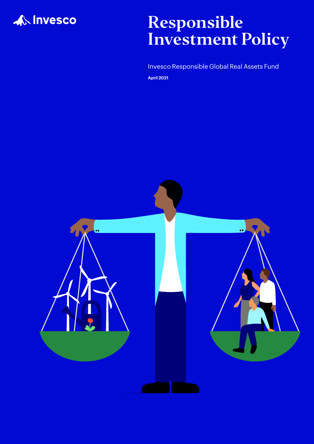

## Responsible Investment Policy

Invesco Responsible Global Real Assets Fund **April 2021**

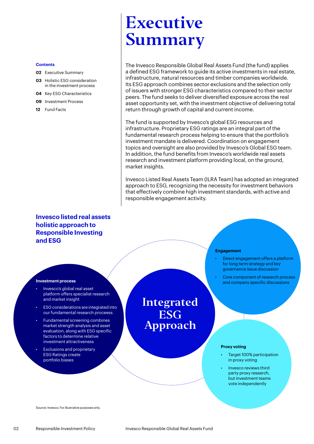#### **Contents**

- **02** Executive Summary
- **03** [Holistic ESG consideration](#page-2-0)  [in the investment process](#page-2-0)
- **04** [Key ESG Characteristics](#page-3-0)
- **09** [Investment Process](#page-8-0)
- **12** [Fund Facts](#page-11-0)

# Executive Summary

The Invesco Responsible Global Real Assets Fund (the fund) applies a defined ESG framework to guide its active investments in real estate, infrastructure, natural resources and timber companies worldwide. Its ESG approach combines sector exclusions and the selection only of issuers with stronger ESG characteristics compared to their sector peers. The fund seeks to deliver diversified exposure across the real asset opportunity set, with the investment objective of delivering total return through growth of capital and current income.

The fund is supported by Invesco's global ESG resources and infrastructure. Proprietary ESG ratings are an integral part of the fundamental research process helping to ensure that the portfolio's investment mandate is delivered. Coordination on engagement topics and oversight are also provided by Invesco's Global ESG team. In addition, the fund benefits from Invesco's worldwide real assets research and investment platform providing local, on the ground, market insights.

Invesco Listed Real Assets Team (ILRA Team) has adopted an integrated approach to ESG, recognizing the necessity for investment behaviors that effectively combine high investment standards, with active and responsible engagement activity.

## **Invesco listed real assets holistic approach to Responsible Investing and ESG**

#### **Engagement**

- Direct engagement offers a platform for long term strategy and key governance issue discussion
- Core component of research process and company specific discussions

#### **Investment process**

- Invesco's global real asset platform offers specialist research and market insight
- ESG considerations are integrated into our fundamental research proceess
- Fundamental screening combines market strength analysis and asset evaluation, along with ESG specific factors to determine relative investment attractiveness
- Exclusions and proprietary ESG Ratings create portfolio biases

Integrated **ESG** Approach

#### **Proxy voting**

- Target 100% participation in proxy voting
- Invesco reviews third party proxy research, but investment teams vote independently

Source: Invesco. For illustrative purposes only.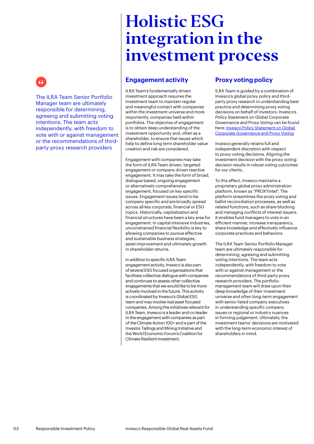<span id="page-2-0"></span>

The ILRA Team Senior Portfolio Manager team are ultimately responsible for determining, agreeing and submitting voting intentions. The team acts independently, with freedom to vote with or against management or the recommendations of thirdparty proxy research providers

## Holistic ESG integration in the investment process

## **Engagement activity**

ILRA Team's fundamentally driven investment approach requires the investment team to maintain regular and meaningful contact with companies within the investment universe and more importantly, companies held within portfolios. The objective of engagement is to obtain deep understanding of the investment opportunity and, often as a shareholder, to ensure that issues which help to define long term shareholder value creation and risk are considered.

Engagement with companies may take the form of ILRA Team driven, targeted engagement or company driven reactive engagement. It may take the form of broad, dialogue based, ongoing engagement or alternatively comprehensive engagement, focused on key specific issues. Engagement issues tend to be company specific and are broadly spread across all key corporate, financial or ESG topics. Historically, capitalization and financial structures have been a key area for engagement. In capital intensive industries, unconstrained financial flexibility is key to allowing companies to pursue effective and sustainable business strategies, asset improvement and ultimately growth in shareholder returns.

In addition to specific ILRA Team engagement activity, Invesco is also part of several ESG focused organisations that facilitate collective dialogue with companies and continues to assess other collective engagements that we would like to be more actively involved in the future. This activity is coordinated by Invesco's Global ESG team and may involve real asset focused companies. Among the initiatives relevant for ILRA Team, Invesco is a leader and co-leader in the engagement with companies as part of the Climate Action 100+ and is part of the Investor Tailings and Mining Initiative and the World Economic Forum's Coalition for Climate Resilient Investment.

## **Proxy voting policy**

ILRA Team is guided by a combination of Invesco's global proxy policy and thirdparty proxy research in understanding best practice and determining proxy voting decisions on behalf of investors. Invesco's Policy Statement on Global Corporate Governance and Proxy Voting can be found here: [Invesco Policy Statement on Global](https://www.invesco.com/corporate/dam/jcr:a1f25695-b417-4701-b399-5e6ec31929c8/Global%20Proxy%20Policy%20-%20Effective%20January%202021%20-%20FINAL%20(2).pdf)  [Corporate Governance and Proxy Voting](https://www.invesco.com/corporate/dam/jcr:a1f25695-b417-4701-b399-5e6ec31929c8/Global%20Proxy%20Policy%20-%20Effective%20January%202021%20-%20FINAL%20(2).pdf)

Invesco generally retains full and independent discretion with respect to proxy voting decisions. Aligning the investment decision with the proxy voting decision results in robust voting outcomes for our clients.

To this effect, Invesco maintains a proprietary global proxy administration platform, known as "PROXYintel". The platform streamlines the proxy voting and ballot reconciliation processes, as well as related functions, such as share blocking and managing conflicts of interest issuers. It enables fund managers to vote in an efficient manner, increase transparency, share knowledge and effectively influence corporate practices and behaviors.

The ILRA Team Senior Portfolio Manager team are ultimately responsible for determining, agreeing and submitting voting intentions. The team acts independently, with freedom to vote with or against management or the recommendations of third-party proxy research providers. The portfolio management team will draw upon their deep knowledge of their investment universe and often long-term engagement with senior listed company executives in understanding specific company issues or regional or industry nuances in forming judgement. Ultimately, the investment teams' decisions are motivated with the long-term economic interest of shareholders in mind.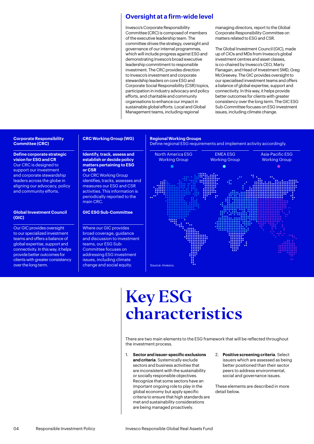### <span id="page-3-0"></span>**Oversight at a firm-wide level**

Invesco's Corporate Responsibility Committee (CRC) is composed of members of the executive leadership team. The committee drives the strategy, oversight and governance of our internal programmes, which will include progress against ESG and demonstrating Invesco's broad executive leadership commitment to responsible investment. The CRC provides direction to Invesco's investment and corporate stewardship leaders on core ESG and Corporate Social Responsibility (CSR) topics, participation in industry advocacy and policy efforts, and charitable and community organisations to enhance our impact in sustainable global efforts. Local and Global Management teams, including regional

managing directors, report to the Global Corporate Responsibility Committee on matters related to ESG and CSR.

The Global Investment Council (GIC), made up of CIOs and MDs from Invesco's global investment centres and asset classes, is co-chaired by Invesco's CEO, Marty Flanagan, and Head of Investment SMD, Greg McGreevey. The GIC provides oversight to our specialised investment teams and offers a balance of global expertise, support and connectivity. In this way, it helps provide better outcomes for clients with greater consistency over the long term. The GIC ESG Sub-Committee focuses on ESG investment issues, including climate change.

#### **Corporate Responsibility Committee (CRC)**

#### **Define corporate strategic vision for ESG and CR**

Our CRC is designed to support our investment and corporate stewardship leaders across the globe in aligning our advocacy, policy and community efforts.

#### **Global Investment Council (GIC)**

Our GIC provides oversight to our specialized investment teams and offers a balance of global expertise, support and connectivity. In this way, it helps provide better outcomes for clients with greater consistency over the long term.

#### **CRC Working Group (WG)**

#### **Regional Working Groups**

Define regional ESG requirements and implement activity accordingly.

**Identify, track, assess and establish or decide policy matters pertaining to ESG or CSR** Our CRC Working Group

identifies, tracks, assesses and measures our ESG and CSR activities. This information is periodically reported to the main CRC.

#### **GIC ESG Sub-Committee**

Where our GIC provides broad coverage, guidance and discussion to investment teams, our ESG Sub-Committee focuses on addressing ESG investment issues, including climate change and social equity.



# Key ESG characteristics

There are two main elements to the ESG framework that will be reflected throughout the investment process.

- 1. **Sector and issuer-specific exclusions and criteria**. Systemically exclude sectors and business activities that are inconsistent with the sustainability or socially responsible objectives. Recognize that some sectors have an important ongoing role to play in the global economy but apply specific criteria to ensure that high standards are met and sustainability considerations are being managed proactively.
- 2. **Positive screening criteria**. Select issuers which are assessed as being better positioned than their sector peers to address environmental, social and governance issues.

These elements are described in more detail below.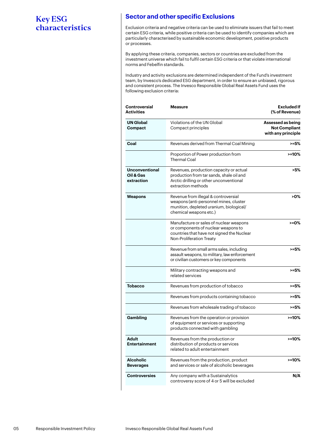## **Sector and other specific Exclusions**

Exclusion criteria and negative criteria can be used to eliminate issuers that fail to meet certain ESG criteria, while positive criteria can be used to identify companies which are particularly characterised by sustainable economic development, positive products or processes.

By applying these criteria, companies, sectors or countries are excluded from the investment universe which fail to fulfil certain ESG criteria or that violate international norms and Febelfin standards.

Industry and activity exclusions are determined independent of the Fund's investment team, by Invesco's dedicated ESG department, in order to ensure an unbiased, rigorous and consistent process. The Invesco Responsible Global Real Assets Fund uses the following exclusion criteria:

| Controversial<br><b>Activities</b>               | <b>Measure</b>                                                                                                                                           | <b>Excluded If</b><br>(% of Revenue)<br>Assessed as being<br><b>Not Compliant</b><br>with any principle |  |  |
|--------------------------------------------------|----------------------------------------------------------------------------------------------------------------------------------------------------------|---------------------------------------------------------------------------------------------------------|--|--|
| <b>UN Global</b><br>Compact                      | Violations of the UN Global<br>Compact principles                                                                                                        |                                                                                                         |  |  |
| Coal                                             | Revenues derived from Thermal Coal Mining                                                                                                                | $>= 5%$                                                                                                 |  |  |
|                                                  | Proportion of Power production from<br><b>Thermal Coal</b>                                                                                               | >=10%                                                                                                   |  |  |
| <b>Unconventional</b><br>Oil & Gas<br>extraction | Revenues, production capacity or actual<br>production from tar sands, shale oil and<br>Arctic drilling or other unconventional<br>extraction methods     | >5%                                                                                                     |  |  |
| Weapons                                          | Revenue from illegal & controversial<br>weapons (anti-personnel mines, cluster<br>munition, depleted uranium, biological/<br>chemical weapons etc.)      | >0%                                                                                                     |  |  |
|                                                  | Manufacture or sales of nuclear weapons<br>or components of nuclear weapons to<br>countries that have not signed the Nuclear<br>Non-Proliferation Treaty | >=0%                                                                                                    |  |  |
|                                                  | Revenue from small arms sales, including<br>assault weapons, to military, law enforcement<br>or civilian customers or key components                     | >=5%                                                                                                    |  |  |
|                                                  | Military contracting weapons and<br>related services                                                                                                     | >=5%                                                                                                    |  |  |
| Tobacco                                          | Revenues from production of tobacco                                                                                                                      | $> = 5\%$                                                                                               |  |  |
|                                                  | Revenues from products containing tobacco                                                                                                                | >=5%                                                                                                    |  |  |
|                                                  | Revenues from wholesale trading of tobacco                                                                                                               | $> = 5\%$                                                                                               |  |  |
| Gambling                                         | Revenues from the operation or provision<br>of equipment or services or supporting<br>products connected with gambling                                   | $> = 10%$                                                                                               |  |  |
| Adult<br><b>Entertainment</b>                    | Revenues from the production or<br>distribution of products or services<br>related to adult entertainment                                                | $> = 10%$                                                                                               |  |  |
| <b>Alcoholic</b><br><b>Beverages</b>             | Revenues from the production, product<br>and services or sale of alcoholic beverages                                                                     | >=10%                                                                                                   |  |  |
| <b>Controversies</b>                             | Any company with a Sustainalytics<br>controversy score of 4 or 5 will be excluded                                                                        | N/A                                                                                                     |  |  |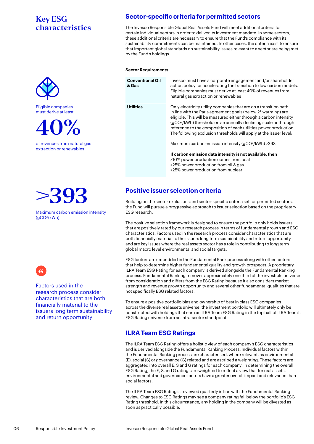

Eligible companies must derive at least



of revenues from natural gas extraction or renewables

>393

Maximum carbon emission intensity (gCO2 /kWh)



Factors used in the research process consider characteristics that are both financially material to the issuers long term sustainability and return opportunity

## **Sector-specific criteria for permitted sectors**

The Invesco Responsible Global Real Assets Fund will meet additional criteria for certain individual sectors in order to deliver its investment mandate. In some sectors, these additional criteria are necessary to ensure that the Fund's compliance with its sustainability commitments can be maintained. In other cases, the criteria exist to ensure that important global standards on sustainability issues relevant to a sector are being met by the Fund's holdings.

#### **Sector Requirements**

| <b>Conventional Oil</b><br>& Gas | Invesco must have a corporate engagement and/or shareholder<br>action policy for accelerating the transition to low carbon models.<br>Eligible companies must derive at least 40% of revenues from<br>natural gas extraction or renewables                                                                                                                                                                                                                                                                                                                                                                                                                                            |
|----------------------------------|---------------------------------------------------------------------------------------------------------------------------------------------------------------------------------------------------------------------------------------------------------------------------------------------------------------------------------------------------------------------------------------------------------------------------------------------------------------------------------------------------------------------------------------------------------------------------------------------------------------------------------------------------------------------------------------|
| <b>Utilities</b>                 | Only electricity utility companies that are on a transition path<br>in line with the Paris agreement goals (below 2° warming) are<br>eligible. This will be measured either through a carbon intensity<br>(gCO <sup>2</sup> /kWh) threshold on an annually declining scale or through<br>reference to the composition of each utilities power production.<br>The following exclusion thresholds will apply at the issuer level;<br>Maximum carbon emission intensity (gCO <sup>2</sup> /kWh) > 393<br>If carbon emission data intensity is not available, then<br>>10% power production comes from coal<br>>25% power production from oil & gas<br>>25% power production from nuclear |
|                                  |                                                                                                                                                                                                                                                                                                                                                                                                                                                                                                                                                                                                                                                                                       |

## **Positive issuer selection criteria**

Building on the sector exclusions and sector-specific criteria set for permitted sectors, the Fund will pursue a progressive approach to issuer selection based on the proprietary ESG research.

The positive selection framework is designed to ensure the portfolio only holds issuers that are positively rated by our research process in terms of fundamental growth and ESG characteristics. Factors used in the research process consider characteristics that are both financially material to the issuers long term sustainability and return opportunity and are key issues where the real assets sector has a role in contributing to long term global macro level environmental and social targets.

ESG factors are embedded in the Fundamental Rank process along with other factors that help to determine higher fundamental quality and growth prospects. A proprietary ILRA Team ESG Rating for each company is derived alongside the Fundamental Ranking process. Fundamental Ranking removes approximately one third of the investible universe from consideration and differs from the ESG Rating because it also considers market strength and revenue growth opportunity and several other fundamental qualities that are not specifically ESG related factors.

To ensure a positive portfolio bias and ownership of best in class ESG companies across the diverse real assets universe, the investment portfolio will ultimately only be constructed with holdings that earn an ILRA Team ESG Rating in the top half of ILRA Team's ESG Rating universe from an intra-sector standpoint.

## **ILRA Team ESG Ratings**

The ILRA Team ESG Rating offers a holistic view of each company's ESG characteristics and is derived alongside the Fundamental Ranking Process. Individual factors within the Fundamental Ranking process are characterised, where relevant, as environmental (E), social (S) or governance (G) related and are ascribed a weighting. These factors are aggregated into overall E, S and G ratings for each company. In determining the overall ESG Rating, the E, S and G ratings are weighted to reflect a view that for real assets, environmental and governance factors have a greater overall impact and relevance than social factors.

The ILRA Team ESG Rating is reviewed quarterly in line with the Fundamental Ranking review. Changes to ESG Ratings may see a company rating fall below the portfolio's ESG Rating threshold. In this circumstance, any holding in the company will be divested as soon as practically possible.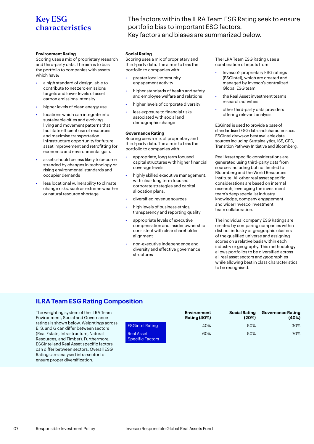#### **Environment Rating**

Scoring uses a mix of proprietary research and third-party data. The aim is to bias the portfolio to companies with assets which have:

- a high standard of design, able to contribute to net zero emissions targets and lower levels of asset carbon emissions intensity
- higher levels of clean energy use
- locations which can integrate into sustainable cities and evolving living and movement patterns that facilitate efficient use of resources and maximise transportation infrastructure opportunity for future asset improvement and retrofitting for economic and environmental gain.
- assets should be less likely to become stranded by changes in technology or rising environmental standards and occupier demands
- less locational vulnerability to climate change risks, such as extreme weather or natural resource shortage

The factors within the ILRA Team ESG Rating seek to ensure portfolio bias to important ESG factors. Key factors and biases are summarized below.

#### **Social Rating**

Scoring uses a mix of proprietary and third-party data. The aim is to bias the portfolio to companies with:

- greater local community engagement activity
- higher standards of health and safety and employee welfare and relations
- higher levels of corporate diversity
- less exposure to financial risks associated with social and demographic change

#### **Governance Rating**

Scoring uses a mix of proprietary and third-party data. The aim is to bias the portfolio to companies with:

- appropriate, long term focused capital structures with higher financial coverage levels
- highly skilled executive management, with clear long term focused corporate strategies and capital allocation plans.
- diversified revenue sources
- high levels of business ethics, transparency and reporting quality
- appropriate levels of executive compensation and insider ownership consistent with clear shareholder alignment
- non-executive independence and diversity and effective governance structures

The ILRA Team ESG Rating uses a combination of inputs from:

- Invesco's proprietary ESG ratings (ESGintel), which are created and managed by Invesco's centralized Global ESG team
- the Real Asset investment team's research activities
- other third-party data providers offering relevant analysis

ESGintel is used to provide a base of standardised ESG data and characteristics. ESGintel draws on best available data sources including Sustainalytics, ISS, CPD, Transition Pathway Initiative and Bloomberg.

Real Asset specific considerations are generated using third-party data from sources including but not limited to Bloomberg and the World Resources Institute. All other real asset specific considerations are based on internal research, leveraging the investment team's deep specialist industry knowledge, company engagement and wider Invesco investment team collaboration.

The individual company ESG Ratings are created by comparing companies within distinct industry or geographic clusters of the qualified universe and assigning scores on a relative basis within each industry or geography. This methodology allows portfolios to be diversified across all real asset sectors and geographies while allowing best in class characteristics to be recognised.

## **ILRA Team ESG Rating Composition**

The weighting system of the ILRA Team Environment, Social and Governance ratings is shown below. Weightings across E, S, and G can differ between sectors (Real Estate, Infrastructure, Natural Resources, and Timber). Furthermore, ESGintel and Real Asset specific factors can differ between sectors. Overall ESG Ratings are analysed intra-sector to ensure proper diversification.

|                                              | <b>Environment</b><br><b>Rating (40%)</b> | <b>Social Rating</b><br>(20%) | <b>Governance Rating</b><br>(40%) |
|----------------------------------------------|-------------------------------------------|-------------------------------|-----------------------------------|
| <b>ESGintel Rating</b>                       | 40%                                       | 50%                           | 30%                               |
| <b>Real Asset</b><br><b>Specific Factors</b> | 60%                                       | 50%                           | 70%                               |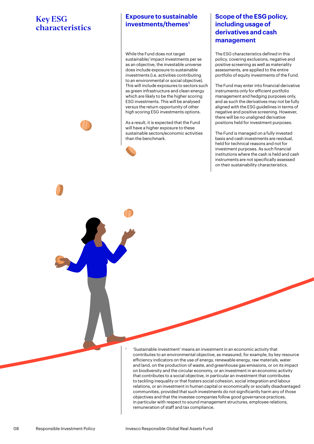## **Exposure to sustainable investments/themes1**

While the Fund does not target sustainable/ impact investments per se as an objective, the investable universe does include exposure to sustainable investments (i.e. activities contributing to an environmental or social objective). This will include exposures to sectors such as green infrastructure and clean energy which are likely to be the higher scoring ESG investments. This will be analysed versus the return opportunity of other high scoring ESG investments options.

As a result, it is expected that the Fund will have a higher exposure to these sustainable sectors/economic activities than the benchmark.



1

## **Scope of the ESG policy, including usage of derivatives and cash management**

The ESG characteristics defined in this policy, covering exclusions, negative and positive screening as well as materiality assessments, are applied to the entire portfolio of equity investments of the Fund.

The Fund may enter into financial derivative instruments only for efficient portfolio management and hedging purposes only, and as such the derivatives may not be fully aligned with the ESG guidelines in terms of negative and positive screening. However, there will be no unaligned derivative positions held for investment purposes.

The Fund is managed on a fully invested basis and cash investments are residual, held for technical reasons and not for investment purposes. As such financial institutions where the cash is held and cash instruments are not specifically assessed on their sustainability characteristics.

 'Sustainable investment' means an investment in an economic activity that contributes to an environmental objective, as measured, for example, by key resource efficiency indicators on the use of energy, renewable energy, raw materials, water and land, on the production of waste, and greenhouse gas emissions, or on its impact on biodiversity and the circular economy, or an investment in an economic activity that contributes to a social objective, in particular an investment that contributes to tackling inequality or that fosters social cohesion, social integration and labour relations, or an investment in human capital or economically or socially disadvantaged communities, provided that such investments do not significantly harm any of those objectives and that the investee companies follow good governance practices, in particular with respect to sound management structures, employee relations, remuneration of staff and tax compliance.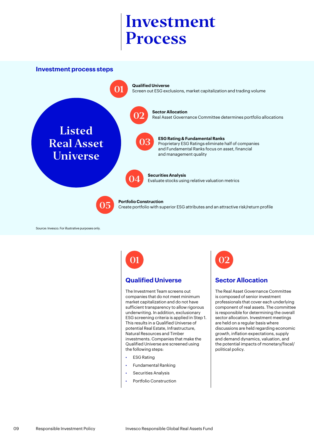<span id="page-8-0"></span>**Investment process steps**



Source: Invesco. For illustrative purposes only.

## **Qualified Universe**

The Investment Team screens out companies that do not meet minimum market capitalization and do not have sufficient transparency to allow rigorous underwriting. In addition, exclusionary ESG screening criteria is applied in Step 1. This results in a Qualified Universe of potential Real Estate, Infrastructure, Natural Resources and Timber investments. Companies that make the Qualified Universe are screened using the following steps:

- ESG Rating
- Fundamental Ranking
- Securities Analysis
- Portfolio Construction

# 01 02

## **Sector Allocation**

The Real Asset Governance Committee is composed of senior investment professionals that cover each underlying component of real assets. The committee is responsible for determining the overall sector allocation. Investment meetings are held on a regular basis where discussions are held regarding economic growth, inflation expectations, supply and demand dynamics, valuation, and the potential impacts of monetary/fiscal/ political policy.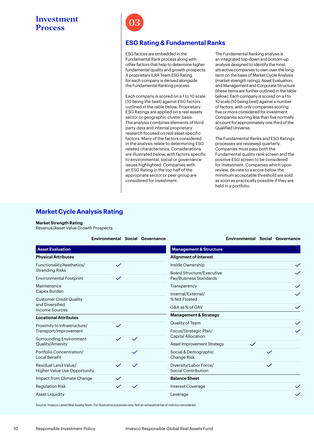

### **ESG Rating & Fundamental Ranks**

ESG factors are embedded in the Fundamental Rank process along with other factors that help to determine higher fundamental quality and growth prospects. A proprietary ILRA Team ESG Rating for each company is derived alongside the Fundamental Ranking process.

Each company is scored on a 1 to 10 scale (10 being the best) against ESG factors outlined in the table below. Proprietary ESG Ratings are applied on a real assets sector or geographic cluster basis. The analysis combines elements of thirdparty data and internal proprietary research focused on real asset specific factors. Many of the factors considered in the analysis relate to determining ESG related characteristics. Considerations are illustrated below, with factors specific to environmental, social or governance issues highlighted. Companies with an ESG Rating in the top half of the appropriate sector or peer group are considered for investment.

The Fundamental Ranking analysis is an integrated top-down and bottom-up analysis designed to identify the most attractive companies to own over the longterm on the basis of Market Cycle Analysis (market strength rating), Asset Evaluation, and Management and Corporate Structure (these items are further outlined in the table below). Each company is scored on a 1 to 10 scale (10 being best) against a number of factors, with only companies scoring five or more considered for investment. Companies scoring less than five normally account for approximately one third of the Qualified Universe.

The Fundamental Ranks and ESG Ratings processes are reviewed quarterly. Companies must pass both the Fundamental quality rank screen and the positive ESG screen to be considered for investment. Companies which upon review, de-rate to a score below the minimum acceptable threshold are sold as soon as practically possible if they are held in a portfolio.

## **Market Cycle Analysis Rating**

#### **Market Strength Rating**

Revenue/Asset Value Growth Prospects

|                                                             | <b>Environmental Social Governance</b> |              |                                                            | <b>Environmental Social Governance</b> |              |              |  |
|-------------------------------------------------------------|----------------------------------------|--------------|------------------------------------------------------------|----------------------------------------|--------------|--------------|--|
| <b>Asset Evaluation</b>                                     |                                        |              | <b>Management &amp; Structure</b>                          |                                        |              |              |  |
| <b>Physical Attributes</b>                                  |                                        |              | <b>Alignment of Interest</b>                               |                                        |              |              |  |
| Functionality/Aesthetics/<br><b>Stranding Risks</b>         | $\checkmark$                           |              | Inside Ownership                                           |                                        |              | $\checkmark$ |  |
| <b>Environmental Footprint</b>                              | $\checkmark$                           |              | <b>Board Structure/Executive</b><br>Pay/Business Standards |                                        |              | $\checkmark$ |  |
| Maintenance                                                 |                                        |              | Transparency                                               |                                        |              | $\checkmark$ |  |
| Capex Burden<br><b>Customer Credit Quality</b>              |                                        |              | Internal/External/<br>% Not Floated                        |                                        |              |              |  |
| and Diversified<br><b>Income Sources</b>                    |                                        |              | G&A as % of GAV                                            |                                        |              | $\checkmark$ |  |
| <b>Locational Attributes</b>                                |                                        |              | <b>Management &amp; Strategy</b>                           |                                        |              |              |  |
| Proximity to Infrastructure/                                | $\checkmark$                           |              | Quality of Team                                            |                                        |              | $\checkmark$ |  |
| Transport/Improvement                                       |                                        |              | Focus/Strategic Plan/                                      |                                        |              | $\checkmark$ |  |
| <b>Surrounding Environment</b>                              | $\checkmark$                           |              | $\checkmark$                                               | <b>Capital Allocation</b>              |              |              |  |
| Quality/Amenity                                             |                                        |              |                                                            | <b>Asset Improvement Strategy</b>      | $\checkmark$ |              |  |
| Portfolio Concentration/<br><b>Local Benefit</b>            |                                        | $\checkmark$ | Social & Demographic<br>Change Risk                        |                                        | $\checkmark$ |              |  |
| Residual Land Value/<br><b>Higher Value Use Opportunity</b> | $\checkmark$                           | $\checkmark$ | Diversity/Labor Force/<br>Social Contribution              |                                        | $\checkmark$ |              |  |
| Impact from Climate Change                                  | $\checkmark$                           |              | <b>Balance Sheet</b>                                       |                                        |              |              |  |
| <b>Regulation Risk</b>                                      |                                        | $\checkmark$ | Interest Coverage                                          |                                        |              |              |  |
| <b>Asset Liquidity</b>                                      |                                        |              | Leverage                                                   |                                        |              |              |  |

Source: Invesco Listed Real Assets Team. For illustrative purposes only. Not an exhaustive list of metrics considered.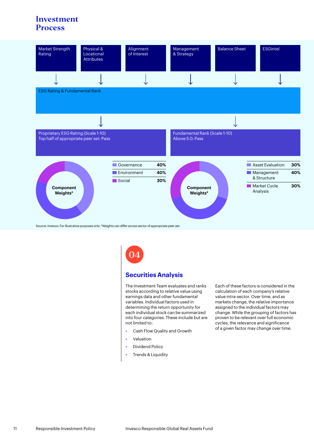

Source: Invesco. For illustrative purposes only. \*Weights can differ across sector of appropriate peer set.

04

### **Securities Analysis**

The Investment Team evaluates and ranks stocks according to relative value using earnings data and other fundamental variables. Individual factors used in determining the return opportunity for each individual stock can be summarized into four categories. These include but are not limited to:

- Cash Flow Quality and Growth
- Valuation
- Dividend Policy
- Trends & Liquidity

Each of these factors is considered in the calculation of each company's relative value intra-sector. Over time, and as markets change, the relative importance assigned to the individual factors may change. While the grouping of factors has proven to be relevant over full economic cycles, the relevance and significance of a given factor may change over time.